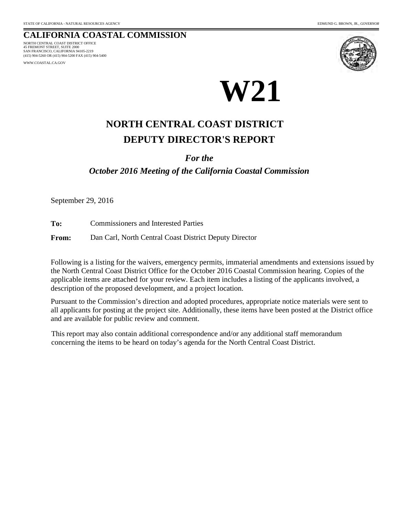#### **CALIFORNIA COASTAL COMMISSION** 45 FREMONT STREET, SUITE 2000 NORTH CENTRAL COAST DISTRICT OFFICE

SAN FRANCISCO, CALIFORNIA 94105-2219 (415) 904-5260 OR (415) 904-5200 FAX (415) 904-5400

WWW.COASTAL.CA.GOV





# **DEPUTY DIRECTOR'S REPORT NORTH CENTRAL COAST DISTRICT**

### *For the*

*October 2016 Meeting of the California Coastal Commission*

September 29, 2016

**To:** Commissioners and Interested Parties

**From:** Dan Carl, North Central Coast District Deputy Director

Following is a listing for the waivers, emergency permits, immaterial amendments and extensions issued by the North Central Coast District Office for the October 2016 Coastal Commission hearing. Copies of the applicable items are attached for your review. Each item includes a listing of the applicants involved, a description of the proposed development, and a project location.

Pursuant to the Commission's direction and adopted procedures, appropriate notice materials were sent to all applicants for posting at the project site. Additionally, these items have been posted at the District office and are available for public review and comment.

This report may also contain additional correspondence and/or any additional staff memorandum concerning the items to be heard on today's agenda for the North Central Coast District.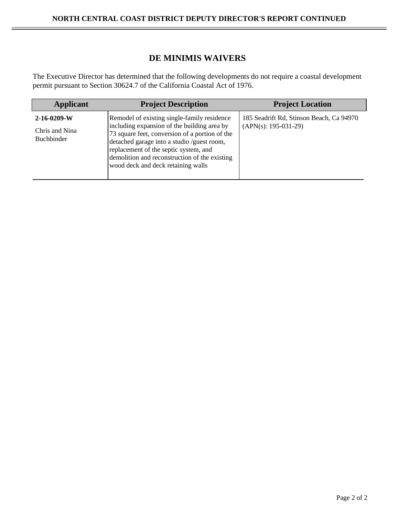## **DE MINIMIS WAIVERS**

The Executive Director has determined that the following developments do not require a coastal development permit pursuant to Section 30624.7 of the California Coastal Act of 1976.

| <b>Applicant</b>                                     | <b>Project Description</b>                                                                                                                                                                                                                                                                                                 | <b>Project Location</b>                                            |
|------------------------------------------------------|----------------------------------------------------------------------------------------------------------------------------------------------------------------------------------------------------------------------------------------------------------------------------------------------------------------------------|--------------------------------------------------------------------|
| $2-16-0209-W$<br>Chris and Nina<br><b>Buchbinder</b> | Remodel of existing single-family residence<br>including expansion of the building area by<br>73 square feet, conversion of a portion of the<br>detached garage into a studio /guest room,<br>replacement of the septic system, and<br>demolition and reconstruction of the existing<br>wood deck and deck retaining walls | 185 Seadrift Rd, Stinson Beach, Ca 94970<br>$(APN(s): 195-031-29)$ |